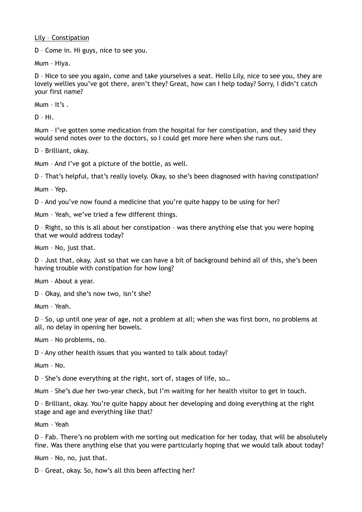Lily – Constipation

D – Come in. Hi guys, nice to see you.

Mum – Hiya.

D – Nice to see you again, come and take yourselves a seat. Hello Lily, nice to see you, they are lovely wellies you've got there, aren't they? Great, how can I help today? Sorry, I didn't catch your first name?

Mum – It's .

D – Hi.

Mum – I've gotten some medication from the hospital for her constipation, and they said they would send notes over to the doctors, so I could get more here when she runs out.

D – Brilliant, okay.

Mum – And I've got a picture of the bottle, as well.

D – That's helpful, that's really lovely. Okay, so she's been diagnosed with having constipation?

Mum – Yep.

D – And you've now found a medicine that you're quite happy to be using for her?

Mum – Yeah, we've tried a few different things.

D – Right, so this is all about her constipation – was there anything else that you were hoping that we would address today?

Mum – No, just that.

D – Just that, okay. Just so that we can have a bit of background behind all of this, she's been having trouble with constipation for how long?

Mum – About a year.

D – Okay, and she's now two, isn't she?

Mum – Yeah.

D – So, up until one year of age, not a problem at all; when she was first born, no problems at all, no delay in opening her bowels.

Mum – No problems, no.

D - Any other health issues that you wanted to talk about today?

Mum – No.

D – She's done everything at the right, sort of, stages of life, so…

Mum – She's due her two-year check, but I'm waiting for her health visitor to get in touch.

D – Brilliant, okay. You're quite happy about her developing and doing everything at the right stage and age and everything like that?

Mum – Yeah

D – Fab. There's no problem with me sorting out medication for her today, that will be absolutely fine. Was there anything else that you were particularly hoping that we would talk about today?

Mum – No, no, just that.

D – Great, okay. So, how's all this been affecting her?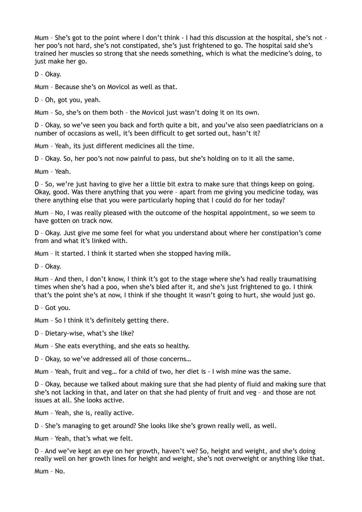Mum – She's got to the point where I don't think - I had this discussion at the hospital, she's not her poo's not hard, she's not constipated, she's just frightened to go. The hospital said she's trained her muscles so strong that she needs something, which is what the medicine's doing, to just make her go.

D – Okay.

Mum – Because she's on Movicol as well as that.

D – Oh, got you, yeah.

Mum – So, she's on them both – the Movicol just wasn't doing it on its own.

D – Okay, so we've seen you back and forth quite a bit, and you've also seen paediatricians on a number of occasions as well, it's been difficult to get sorted out, hasn't it?

Mum – Yeah, its just different medicines all the time.

D – Okay. So, her poo's not now painful to pass, but she's holding on to it all the same.

Mum – Yeah.

D – So, we're just having to give her a little bit extra to make sure that things keep on going. Okay, good. Was there anything that you were – apart from me giving you medicine today, was there anything else that you were particularly hoping that I could do for her today?

Mum – No, I was really pleased with the outcome of the hospital appointment, so we seem to have gotten on track now.

D – Okay. Just give me some feel for what you understand about where her constipation's come from and what it's linked with.

Mum – It started. I think it started when she stopped having milk.

D – Okay.

Mum – And then, I don't know, I think it's got to the stage where she's had really traumatising times when she's had a poo, when she's bled after it, and she's just frightened to go. I think that's the point she's at now, I think if she thought it wasn't going to hurt, she would just go.

D – Got you.

Mum – So I think it's definitely getting there.

D – Dietary-wise, what's she like?

Mum – She eats everything, and she eats so healthy.

D – Okay, so we've addressed all of those concerns…

Mum – Yeah, fruit and veg… for a child of two, her diet is - I wish mine was the same.

D – Okay, because we talked about making sure that she had plenty of fluid and making sure that she's not lacking in that, and later on that she had plenty of fruit and veg – and those are not issues at all. She looks active.

Mum – Yeah, she is, really active.

D – She's managing to get around? She looks like she's grown really well, as well.

Mum – Yeah, that's what we felt.

D – And we've kept an eye on her growth, haven't we? So, height and weight, and she's doing really well on her growth lines for height and weight, she's not overweight or anything like that.

Mum – No.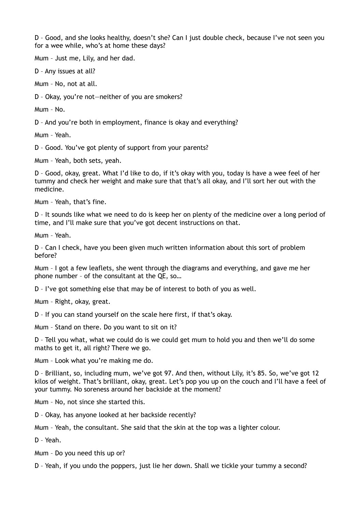D – Good, and she looks healthy, doesn't she? Can I just double check, because I've not seen you for a wee while, who's at home these days?

Mum – Just me, Lily, and her dad.

D – Any issues at all?

Mum – No, not at all.

D – Okay, you're not—neither of you are smokers?

Mum – No.

D – And you're both in employment, finance is okay and everything?

Mum – Yeah.

D – Good. You've got plenty of support from your parents?

Mum – Yeah, both sets, yeah.

D – Good, okay, great. What I'd like to do, if it's okay with you, today is have a wee feel of her tummy and check her weight and make sure that that's all okay, and I'll sort her out with the medicine.

Mum – Yeah, that's fine.

D – It sounds like what we need to do is keep her on plenty of the medicine over a long period of time, and I'll make sure that you've got decent instructions on that.

Mum – Yeah.

D – Can I check, have you been given much written information about this sort of problem before?

Mum – I got a few leaflets, she went through the diagrams and everything, and gave me her phone number – of the consultant at the QE, so…

D – I've got something else that may be of interest to both of you as well.

Mum – Right, okay, great.

D – If you can stand yourself on the scale here first, if that's okay.

Mum – Stand on there. Do you want to sit on it?

D – Tell you what, what we could do is we could get mum to hold you and then we'll do some maths to get it, all right? There we go.

Mum – Look what you're making me do.

D – Brilliant, so, including mum, we've got 97. And then, without Lily, it's 85. So, we've got 12 kilos of weight. That's brilliant, okay, great. Let's pop you up on the couch and I'll have a feel of your tummy. No soreness around her backside at the moment?

Mum – No, not since she started this.

D – Okay, has anyone looked at her backside recently?

Mum – Yeah, the consultant. She said that the skin at the top was a lighter colour.

D – Yeah.

Mum – Do you need this up or?

D – Yeah, if you undo the poppers, just lie her down. Shall we tickle your tummy a second?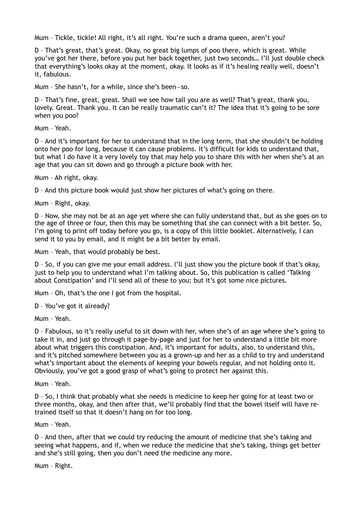Mum – Tickle, tickle! All right, it's all right. You're such a drama queen, aren't you?

D – That's great, that's great. Okay, no great big lumps of poo there, which is great. While you've got her there, before you put her back together, just two seconds… I'll just double check that everything's looks okay at the moment, okay. It looks as if it's healing really well, doesn't it, fabulous.

Mum – She hasn't, for a while, since she's been—so.

D – That's fine, great, great. Shall we see how tall you are as well? That's great, thank you, lovely. Great. Thank you. It can be really traumatic can't it? The idea that it's going to be sore when you poo?

Mum – Yeah.

D – And it's important for her to understand that in the long term, that she shouldn't be holding onto her poo for long, because it can cause problems. It's difficult for kids to understand that, but what I do have it a very lovely toy that may help you to share this with her when she's at an age that you can sit down and go through a picture book with her.

Mum – Ah right, okay.

D – And this picture book would just show her pictures of what's going on there.

Mum – Right, okay.

D – Now, she may not be at an age yet where she can fully understand that, but as she goes on to the age of three or four, then this may be something that she can connect with a bit better. So, I'm going to print off today before you go, is a copy of this little booklet. Alternatively, I can send it to you by email, and it might be a bit better by email.

Mum – Yeah, that would probably be best.

D – So, if you can give me your email address. I'll just show you the picture book if that's okay, just to help you to understand what I'm talking about. So, this publication is called 'Talking about Constipation' and I'll send all of these to you; but it's got some nice pictures.

Mum – Oh, that's the one I got from the hospital.

D – You've got it already?

Mum – Yeah.

D – Fabulous, so it's really useful to sit down with her, when she's of an age where she's going to take it in, and just go through it page-by-page and just for her to understand a little bit more about what triggers this constipation. And, it's important for adults, also, to understand this, and it's pitched somewhere between you as a grown-up and her as a child to try and understand what's important about the elements of keeping your bowels regular, and not holding onto it. Obviously, you've got a good grasp of what's going to protect her against this.

Mum – Yeah.

D – So, I think that probably what she needs is medicine to keep her going for at least two or three months, okay, and then after that, we'll probably find that the bowel itself will have retrained itself so that it doesn't hang on for too long.

Mum – Yeah.

D – And then, after that we could try reducing the amount of medicine that she's taking and seeing what happens, and if, when we reduce the medicine that she's taking, things get better and she's still going, then you don't need the medicine any more.

Mum – Right.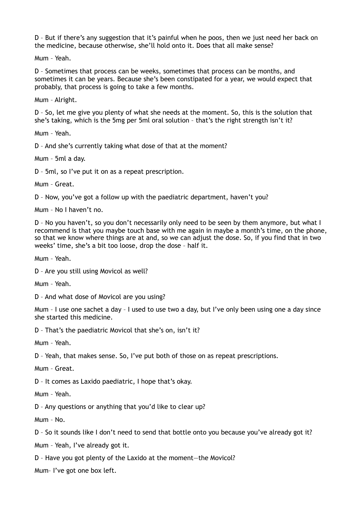D – But if there's any suggestion that it's painful when he poos, then we just need her back on the medicine, because otherwise, she'll hold onto it. Does that all make sense?

Mum – Yeah.

D – Sometimes that process can be weeks, sometimes that process can be months, and sometimes it can be years. Because she's been constipated for a year, we would expect that probably, that process is going to take a few months.

Mum – Alright.

D – So, let me give you plenty of what she needs at the moment. So, this is the solution that she's taking, which is the 5mg per 5ml oral solution – that's the right strength isn't it?

Mum – Yeah.

D – And she's currently taking what dose of that at the moment?

Mum – 5ml a day.

D – 5ml, so I've put it on as a repeat prescription.

Mum – Great.

D – Now, you've got a follow up with the paediatric department, haven't you?

Mum – No I haven't no.

D - No you haven't, so you don't necessarily only need to be seen by them anymore, but what I recommend is that you maybe touch base with me again in maybe a month's time, on the phone, so that we know where things are at and, so we can adjust the dose. So, if you find that in two weeks' time, she's a bit too loose, drop the dose – half it.

Mum – Yeah.

D – Are you still using Movicol as well?

Mum – Yeah.

D – And what dose of Movicol are you using?

Mum – I use one sachet a day – I used to use two a day, but I've only been using one a day since she started this medicine.

D – That's the paediatric Movicol that she's on, isn't it?

Mum – Yeah.

D – Yeah, that makes sense. So, I've put both of those on as repeat prescriptions.

Mum – Great.

D – It comes as Laxido paediatric, I hope that's okay.

Mum – Yeah.

D – Any questions or anything that you'd like to clear up?

Mum – No.

D – So it sounds like I don't need to send that bottle onto you because you've already got it?

Mum – Yeah, I've already got it.

D – Have you got plenty of the Laxido at the moment—the Movicol?

Mum– I've got one box left.